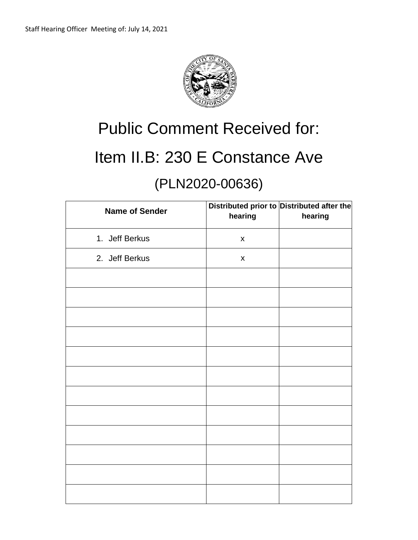

# Public Comment Received for: Item II.B: 230 E Constance Ave

## (PLN2020-00636)

| <b>Name of Sender</b> | hearing            | Distributed prior to Distributed after the<br>hearing |
|-----------------------|--------------------|-------------------------------------------------------|
| 1. Jeff Berkus        | $\pmb{\mathsf{X}}$ |                                                       |
| 2. Jeff Berkus        | $\pmb{\mathsf{X}}$ |                                                       |
|                       |                    |                                                       |
|                       |                    |                                                       |
|                       |                    |                                                       |
|                       |                    |                                                       |
|                       |                    |                                                       |
|                       |                    |                                                       |
|                       |                    |                                                       |
|                       |                    |                                                       |
|                       |                    |                                                       |
|                       |                    |                                                       |
|                       |                    |                                                       |
|                       |                    |                                                       |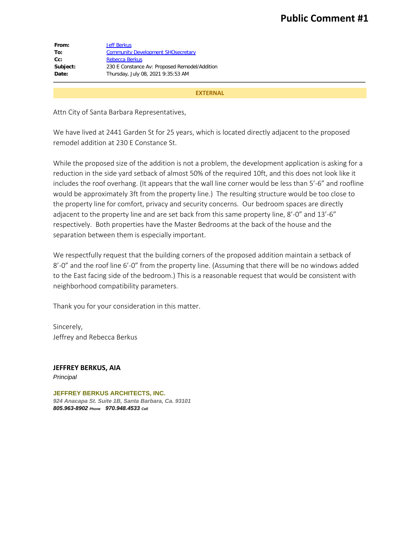| From:    | <b>Jeff Berkus</b>                            |
|----------|-----------------------------------------------|
| To:      | <b>Community Development SHOsecretary</b>     |
| $Cc$ :   | <b>Rebecca Berkus</b>                         |
| Subject: | 230 E Constance Av: Proposed Remodel/Addition |
| Date:    | Thursday, July 08, 2021 9:35:53 AM            |
|          |                                               |

#### **EXTERNAL**

Attn City of Santa Barbara Representatives,

We have lived at 2441 Garden St for 25 years, which is located directly adjacent to the proposed remodel addition at 230 E Constance St.

While the proposed size of the addition is not a problem, the development application is asking for a reduction in the side yard setback of almost 50% of the required 10ft, and this does not look like it includes the roof overhang. (It appears that the wall line corner would be less than 5'-6" and roofline would be approximately 3ft from the property line.) The resulting structure would be too close to the property line for comfort, privacy and security concerns. Our bedroom spaces are directly adjacent to the property line and are set back from this same property line, 8'-0" and 13'-6" respectively. Both properties have the Master Bedrooms at the back of the house and the separation between them is especially important.

We respectfully request that the building corners of the proposed addition maintain a setback of 8'-0" and the roof line 6'-0" from the property line. (Assuming that there will be no windows added to the East facing side of the bedroom.) This is a reasonable request that would be consistent with neighborhood compatibility parameters.

Thank you for your consideration in this matter.

Sincerely, Jeffrey and Rebecca Berkus

**JEFFREY BERKUS, AIA** *Principal*

**JEFFREY BERKUS ARCHITECTS, INC.** *924 Anacapa St. Suite 1B, Santa Barbara, Ca. 93101 805.963-8902 Phone 970.948.4533 Cell*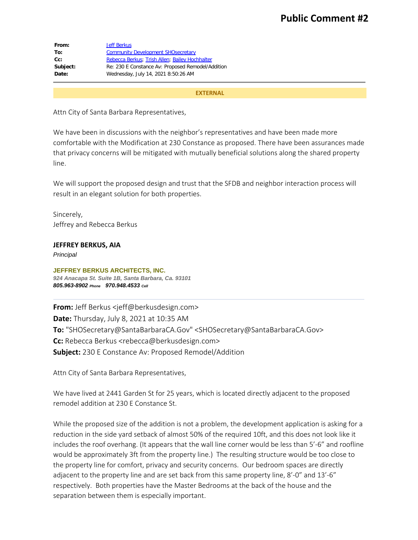| From:    | <b>Jeff Berkus</b>                                |
|----------|---------------------------------------------------|
| To:      | <b>Community Development SHOsecretary</b>         |
| $Cc$ :   | Rebecca Berkus; Trish Allen; Bailey Hochhalter    |
| Subject: | Re: 230 E Constance Av: Proposed Remodel/Addition |
| Date:    | Wednesday, July 14, 2021 8:50:26 AM               |
|          |                                                   |

#### **EXTERNAL**

Attn City of Santa Barbara Representatives,

We have been in discussions with the neighbor's representatives and have been made more comfortable with the Modification at 230 Constance as proposed. There have been assurances made that privacy concerns will be mitigated with mutually beneficial solutions along the shared property line.

We will support the proposed design and trust that the SFDB and neighbor interaction process will result in an elegant solution for both properties.

Sincerely, Jeffrey and Rebecca Berkus

### **JEFFREY BERKUS, AIA**

*Principal*

**JEFFREY BERKUS ARCHITECTS, INC.** *924 Anacapa St. Suite 1B, Santa Barbara, Ca. 93101 805.963-8902 Phone 970.948.4533 Cell*

**From:** Jeff Berkus <jeff@berkusdesign.com> **Date:** Thursday, July 8, 2021 at 10:35 AM **To:** "SHOSecretary@SantaBarbaraCA.Gov" <SHOSecretary@SantaBarbaraCA.Gov> **Cc:** Rebecca Berkus <rebecca@berkusdesign.com> **Subject:** 230 E Constance Av: Proposed Remodel/Addition

Attn City of Santa Barbara Representatives,

We have lived at 2441 Garden St for 25 years, which is located directly adjacent to the proposed remodel addition at 230 E Constance St.

While the proposed size of the addition is not a problem, the development application is asking for a reduction in the side yard setback of almost 50% of the required 10ft, and this does not look like it includes the roof overhang. (It appears that the wall line corner would be less than 5'-6" and roofline would be approximately 3ft from the property line.) The resulting structure would be too close to the property line for comfort, privacy and security concerns. Our bedroom spaces are directly adjacent to the property line and are set back from this same property line, 8'-0" and 13'-6" respectively. Both properties have the Master Bedrooms at the back of the house and the separation between them is especially important.